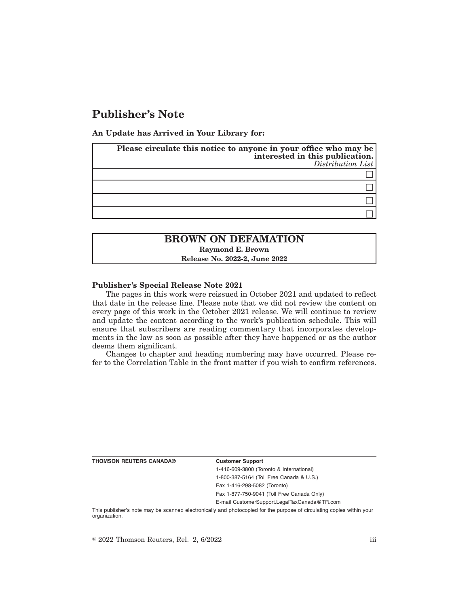# **Publisher's Note**

**An Update has Arrived in Your Library for:**

| Please circulate this notice to anyone in your office who may be<br>interested in this publication.<br>Distribution List |
|--------------------------------------------------------------------------------------------------------------------------|
|                                                                                                                          |
|                                                                                                                          |
|                                                                                                                          |
|                                                                                                                          |

# **BROWN ON DEFAMATION Raymond E. Brown**

**Release No. 2022-2, June 2022**

### **Publisher's Special Release Note 2021**

The pages in this work were reissued in October 2021 and updated to reflect that date in the release line. Please note that we did not review the content on every page of this work in the October 2021 release. We will continue to review and update the content according to the work's publication schedule. This will ensure that subscribers are reading commentary that incorporates developments in the law as soon as possible after they have happened or as the author deems them significant.

Changes to chapter and heading numbering may have occurred. Please refer to the Correlation Table in the front matter if you wish to confirm references.

**THOMSON REUTERS CANADA® Customer Support**

1-416-609-3800 (Toronto & International) 1-800-387-5164 (Toll Free Canada & U.S.)

Fax 1-416-298-5082 (Toronto)

Fax 1-877-750-9041 (Toll Free Canada Only)

E-mail CustomerSupport.LegalTaxCanada@TR.com

This publisher's note may be scanned electronically and photocopied for the purpose of circulating copies within your organization.

 $\degree$  2022 Thomson Reuters, Rel. 2, 6/2022 iii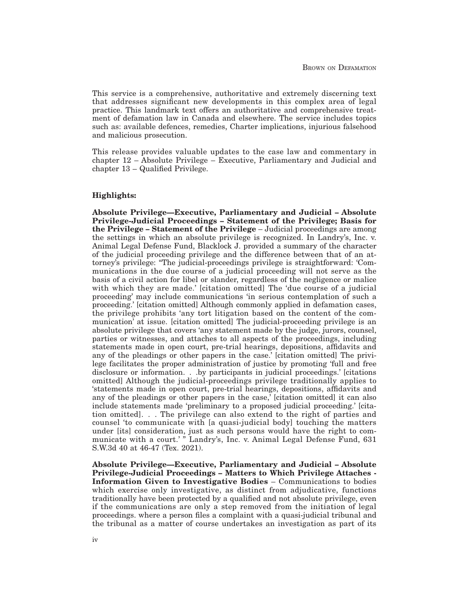This service is a comprehensive, authoritative and extremely discerning text that addresses significant new developments in this complex area of legal practice. This landmark text offers an authoritative and comprehensive treatment of defamation law in Canada and elsewhere. The service includes topics such as: available defences, remedies, Charter implications, injurious falsehood and malicious prosecution.

This release provides valuable updates to the case law and commentary in chapter 12 – Absolute Privilege – Executive, Parliamentary and Judicial and chapter 13 – Qualified Privilege.

### **Highlights:**

**Absolute Privilege—Executive, Parliamentary and Judicial – Absolute Privilege-Judicial Proceedings – Statement of the Privilege; Basis for the Privilege – Statement of the Privilege** – Judicial proceedings are among the settings in which an absolute privilege is recognized. In Landry's, Inc. v. Animal Legal Defense Fund, Blacklock J. provided a summary of the character of the judicial proceeding privilege and the difference between that of an attorney's privilege: "The judicial-proceedings privilege is straightforward: 'Communications in the due course of a judicial proceeding will not serve as the basis of a civil action for libel or slander, regardless of the negligence or malice with which they are made.' [citation omitted] The 'due course of a judicial proceeding' may include communications 'in serious contemplation of such a proceeding.' [citation omitted] Although commonly applied in defamation cases, the privilege prohibits 'any tort litigation based on the content of the communication' at issue. [citation omitted] The judicial-proceeding privilege is an absolute privilege that covers 'any statement made by the judge, jurors, counsel, parties or witnesses, and attaches to all aspects of the proceedings, including statements made in open court, pre-trial hearings, depositions, affidavits and any of the pleadings or other papers in the case.' [citation omitted] The privilege facilitates the proper administration of justice by promoting 'full and free disclosure or information. . .by participants in judicial proceedings.' [citations omitted] Although the judicial-proceedings privilege traditionally applies to 'statements made in open court, pre-trial hearings, depositions, affidavits and any of the pleadings or other papers in the case,' [citation omitted] it can also include statements made 'preliminary to a proposed judicial proceeding.' [citation omitted]. . . The privilege can also extend to the right of parties and counsel 'to communicate with [a quasi-judicial body] touching the matters under [its] consideration, just as such persons would have the right to communicate with a court.' " Landry's, Inc. v. Animal Legal Defense Fund, 631 S.W.3d 40 at 46-47 (Tex. 2021).

**Absolute Privilege—Executive, Parliamentary and Judicial – Absolute Privilege-Judicial Proceedings – Matters to Which Privilege Attaches - Information Given to Investigative Bodies** – Communications to bodies which exercise only investigative, as distinct from adjudicative, functions traditionally have been protected by a qualified and not absolute privilege, even if the communications are only a step removed from the initiation of legal proceedings. where a person files a complaint with a quasi-judicial tribunal and the tribunal as a matter of course undertakes an investigation as part of its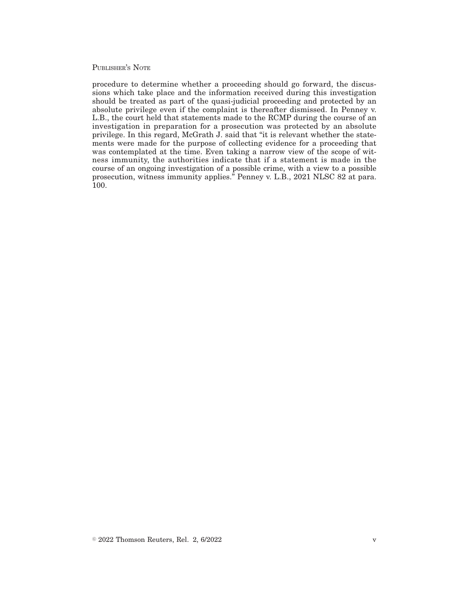### PUBLISHER'S NOTE

procedure to determine whether a proceeding should go forward, the discussions which take place and the information received during this investigation should be treated as part of the quasi-judicial proceeding and protected by an absolute privilege even if the complaint is thereafter dismissed. In Penney v. L.B., the court held that statements made to the RCMP during the course of an investigation in preparation for a prosecution was protected by an absolute privilege. In this regard, McGrath J. said that "it is relevant whether the statements were made for the purpose of collecting evidence for a proceeding that was contemplated at the time. Even taking a narrow view of the scope of witness immunity, the authorities indicate that if a statement is made in the course of an ongoing investigation of a possible crime, with a view to a possible prosecution, witness immunity applies." Penney v. L.B., 2021 NLSC 82 at para. 100.